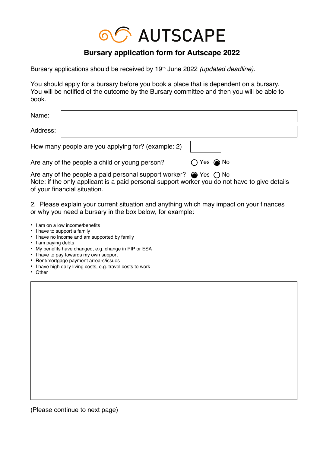

## **Bursary application form for Autscape 2022**

Bursary applications should be received by 19<sup>th</sup> June 2022 *(updated deadline)*.

You should apply for a bursary before you book a place that is dependent on a bursary. You will be notified of the outcome by the Bursary committee and then you will be able to book.

| Name:                                              |                              |
|----------------------------------------------------|------------------------------|
| Address:                                           |                              |
| How many people are you applying for? (example: 2) |                              |
| Are any of the people a child or young person?     | $\bigcirc$ Yes $\bigcirc$ No |

Are any of the people a paid personal support worker?  $\; \; \circledast$  Yes  $\; \bigcirc$  No Note: if the only applicant is a paid personal support worker you do not have to give details of your financial situation.

2. Please explain your current situation and anything which may impact on your finances or why you need a bursary in the box below, for example: .

- I am on a low income/benefits
- I have to support a family
- I have no income and am supported by family
- I am paying debts
- My benefits have changed, e.g. change in PIP or ESA
- I have to pay towards my own support
- Rent/mortgage payment arrears/issues
- I have high daily living costs, e.g. travel costs to work
- Other